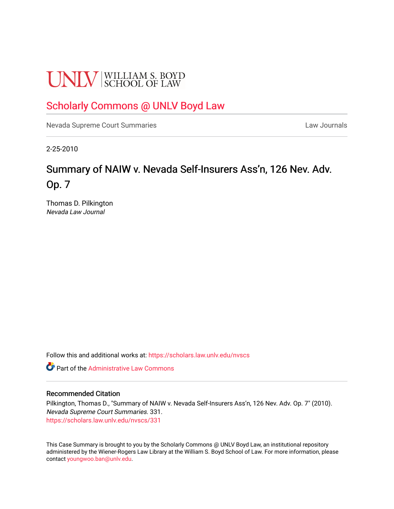# **UNLV** SCHOOL OF LAW

## [Scholarly Commons @ UNLV Boyd Law](https://scholars.law.unlv.edu/)

[Nevada Supreme Court Summaries](https://scholars.law.unlv.edu/nvscs) **Law Journals** Law Journals

2-25-2010

# Summary of NAIW v. Nevada Self-Insurers Ass'n, 126 Nev. Adv. Op. 7

Thomas D. Pilkington Nevada Law Journal

Follow this and additional works at: [https://scholars.law.unlv.edu/nvscs](https://scholars.law.unlv.edu/nvscs?utm_source=scholars.law.unlv.edu%2Fnvscs%2F331&utm_medium=PDF&utm_campaign=PDFCoverPages)

**C** Part of the Administrative Law Commons

#### Recommended Citation

Pilkington, Thomas D., "Summary of NAIW v. Nevada Self-Insurers Ass'n, 126 Nev. Adv. Op. 7" (2010). Nevada Supreme Court Summaries. 331. [https://scholars.law.unlv.edu/nvscs/331](https://scholars.law.unlv.edu/nvscs/331?utm_source=scholars.law.unlv.edu%2Fnvscs%2F331&utm_medium=PDF&utm_campaign=PDFCoverPages)

This Case Summary is brought to you by the Scholarly Commons @ UNLV Boyd Law, an institutional repository administered by the Wiener-Rogers Law Library at the William S. Boyd School of Law. For more information, please contact [youngwoo.ban@unlv.edu](mailto:youngwoo.ban@unlv.edu).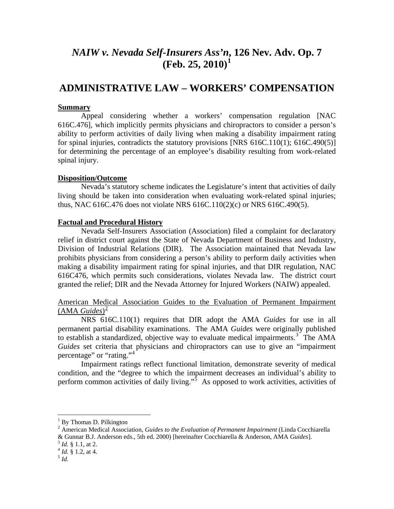## *NAIW v. Nevada Self-Insurers Ass'n***, 126 Nev. Adv. Op. 7 (Feb. 25, 2010)[1](#page-1-0)**

### **ADMINISTRATIVE LAW – WORKERS' COMPENSATION**

#### **Summary**

Appeal considering whether a workers' compensation regulation [NAC 616C.476], which implicitly permits physicians and chiropractors to consider a person's ability to perform activities of daily living when making a disability impairment rating for spinal injuries, contradicts the statutory provisions [NRS 616C.110(1): 616C.490(5)] for determining the percentage of an employee's disability resulting from work-related spinal injury.

#### **Disposition/Outcome**

Nevada's statutory scheme indicates the Legislature's intent that activities of daily living should be taken into consideration when evaluating work-related spinal injuries; thus, NAC 616C.476 does not violate NRS 616C.110(2)(c) or NRS 616C.490(5).

#### **Factual and Procedural History**

Nevada Self-Insurers Association (Association) filed a complaint for declaratory relief in district court against the State of Nevada Department of Business and Industry, Division of Industrial Relations (DIR). The Association maintained that Nevada law prohibits physicians from considering a person's ability to perform daily activities when making a disability impairment rating for spinal injuries, and that DIR regulation, NAC 616C476, which permits such considerations, violates Nevada law. The district court granted the relief; DIR and the Nevada Attorney for Injured Workers (NAIW) appealed.

#### American Medical Association Guides to the Evaluation of Permanent Impairment (AMA *Guides*) [2](#page-1-1)

NRS 616C.110(1) requires that DIR adopt the AMA *Guides* for use in all permanent partial disability examinations. The AMA *Guides* were originally published to establish a standardized, objective way to evaluate medical impairments.<sup>[3](#page-1-2)</sup> The AMA *Guides* set criteria that physicians and chiropractors can use to give an "impairment percentage" or "rating."<sup>[4](#page-1-3)</sup>

Impairment ratings reflect functional limitation, demonstrate severity of medical condition, and the "degree to which the impairment decreases an individual's ability to perform common activities of daily living."<sup>[5](#page-1-4)</sup> As opposed to work activities, activities of

 $1$  By Thomas D. Pilkington

<span id="page-1-1"></span><span id="page-1-0"></span><sup>2</sup> American Medical Association, *Guides to the Evaluation of Permanent Impairment* (Linda Cocchiarella & Gunnar B.J. Anderson eds., 5th ed. 2000) [hereinafter Cocchiarella & Anderson, AMA *Guides*].<sup>3</sup> *Id.* § 1.1, at 2.<br><sup>4</sup> *Id.* § 1.2, at 4. 5 *Id.* 

<span id="page-1-3"></span><span id="page-1-2"></span>

<span id="page-1-4"></span>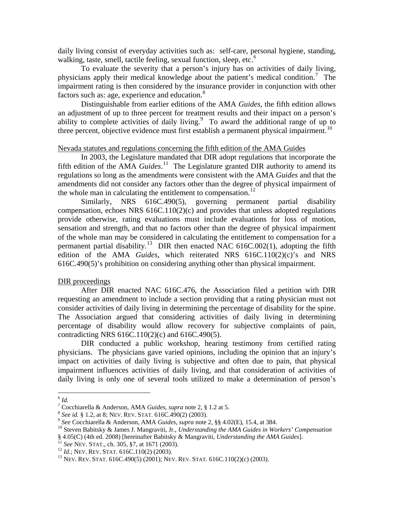daily living consist of everyday activities such as: self-care, personal hygiene, standing, walking, taste, smell, tactile feeling, sexual function, sleep, etc. $<sup>6</sup>$  $<sup>6</sup>$  $<sup>6</sup>$ </sup>

To evaluate the severity that a person's injury has on activities of daily living, physicians apply their medical knowledge about the patient's medical condition. [7](#page-2-1) The impairment rating is then considered by the insurance provider in conjunction with other factors such as: age, experience and education.<sup>[8](#page-2-2)</sup>

Distinguishable from earlier editions of the AMA *Guides*, the fifth edition allows an adjustment of up to three percent for treatment results and their impact on a person's ability to complete activities of daily living. $9\degree$  $9\degree$  To award the additional range of up to three percent, objective evidence must first establish a permanent physical impairment.<sup>[10](#page-2-4)</sup>

#### Nevada statutes and regulations concerning the fifth edition of the AMA Guides

In 2003, the Legislature mandated that DIR adopt regulations that incorporate the fifth edition of the AMA *Guides*.<sup>11</sup> The Legislature granted DIR authority to amend its regulations so long as the amendments were consistent with the AMA *Guides* and that the amendments did not consider any factors other than the degree of physical impairment of the whole man in calculating the entitlement to compensation.<sup>[12](#page-2-6)</sup>

Similarly, NRS 616C.490(5), governing permanent partial disability compensation, echoes NRS 616C.110(2)(c) and provides that unless adopted regulations provide otherwise, rating evaluations must include evaluations for loss of motion, sensation and strength, and that no factors other than the degree of physical impairment of the whole man may be considered in calculating the entitlement to compensation for a permanent partial disability.<sup>13</sup> DIR then enacted NAC 616C.002(1), adopting the fifth edition of the AMA *Guides*, which reiterated NRS 616C.110(2)(c)'s and NRS 616C.490(5)'s prohibition on considering anything other than physical impairment.

#### DIR proceedings

After DIR enacted NAC 616C.476, the Association filed a petition with DIR requesting an amendment to include a section providing that a rating physician must not consider activities of daily living in determining the percentage of disability for the spine. The Association argued that considering activities of daily living in determining percentage of disability would allow recovery for subjective complaints of pain, contradicting NRS 616C.110(2)(c) and 616C.490(5).

DIR conducted a public workshop, hearing testimony from certified rating physicians. The physicians gave varied opinions, including the opinion that an injury's impact on activities of daily living is subjective and often due to pain, that physical impairment influences activities of daily living, and that consideration of activities of daily living is only one of several tools utilized to make a determination of person's

<span id="page-2-0"></span> $\frac{6}{7}$  *Id.*<br><sup>7</sup> Cocchiarella & Anderson, AMA *Guides*, *supra* note 2, § 1.2 at 5.

<span id="page-2-4"></span>

<span id="page-2-3"></span><span id="page-2-2"></span><span id="page-2-1"></span><sup>&</sup>lt;sup>8</sup> See id. § 1.2, at 8; NEV. REV. STAT. 616C.490(2) (2003).<br><sup>9</sup> See Cocchiarella & Anderson, AMA *Guides*, *supra* note 2, §§ 4.02(E), 15.4, at 384.<br><sup>10</sup> Steven Babitsky & James J. Mangraviti, Jr., *Understanding the AMA* § 4.05(C) (4th ed. 2008) [hereinafter Babitsky & Mangraviti, *Understanding the AMA Guides*].<br><sup>11</sup> See NEV. STAT., ch. 305, §7, at 1671 (2003).<br><sup>12</sup> Id.; NEV. REV. STAT. 616C.110(2) (2003).<br><sup>13</sup> NEV. REV. STAT. 616C.490(5

<span id="page-2-6"></span><span id="page-2-5"></span>

<span id="page-2-7"></span>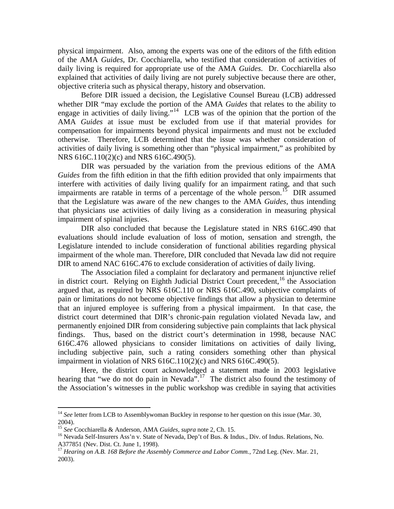physical impairment. Also, among the experts was one of the editors of the fifth edition of the AMA *Guides*, Dr. Cocchiarella, who testified that consideration of activities of daily living is required for appropriate use of the AMA *Guides*. Dr. Cocchiarella also explained that activities of daily living are not purely subjective because there are other, objective criteria such as physical therapy, history and observation.

Before DIR issued a decision, the Legislative Counsel Bureau (LCB) addressed whether DIR "may exclude the portion of the AMA *Guides* that relates to the ability to engage in activities of daily living."<sup>[14](#page-3-0)</sup> LCB was of the opinion that the portion of the AMA *Guides* at issue must be excluded from use if that material provides for compensation for impairments beyond physical impairments and must not be excluded otherwise. Therefore, LCB determined that the issue was whether consideration of activities of daily living is something other than "physical impairment," as prohibited by NRS 616C.110(2)(c) and NRS 616C.490(5).

DIR was persuaded by the variation from the previous editions of the AMA *Guides* from the fifth edition in that the fifth edition provided that only impairments that interfere with activities of daily living qualify for an impairment rating, and that such impairments are ratable in terms of a percentage of the whole person.<sup>[15](#page-3-1)</sup> DIR assumed that the Legislature was aware of the new changes to the AMA *Guides*, thus intending that physicians use activities of daily living as a consideration in measuring physical impairment of spinal injuries.

DIR also concluded that because the Legislature stated in NRS 616C.490 that evaluations should include evaluation of loss of motion, sensation and strength, the Legislature intended to include consideration of functional abilities regarding physical impairment of the whole man. Therefore, DIR concluded that Nevada law did not require DIR to amend NAC 616C.476 to exclude consideration of activities of daily living.

The Association filed a complaint for declaratory and permanent injunctive relief in district court. Relying on Eighth Judicial District Court precedent,<sup>[16](#page-3-2)</sup> the Association argued that, as required by NRS 616C.110 or NRS 616C.490, subjective complaints of pain or limitations do not become objective findings that allow a physician to determine that an injured employee is suffering from a physical impairment. In that case, the district court determined that DIR's chronic-pain regulation violated Nevada law, and permanently enjoined DIR from considering subjective pain complaints that lack physical findings. Thus, based on the district court's determination in 1998, because NAC 616C.476 allowed physicians to consider limitations on activities of daily living, including subjective pain, such a rating considers something other than physical impairment in violation of NRS 616C.110(2)(c) and NRS 616C.490(5).

Here, the district court acknowledged a statement made in 2003 legislative hearing that "we do not do pain in Nevada".<sup>[17](#page-3-3)</sup> The district also found the testimony of the Association's witnesses in the public workshop was credible in saying that activities

<span id="page-3-0"></span><sup>&</sup>lt;sup>14</sup> See letter from LCB to Assemblywoman Buckley in response to her question on this issue (Mar. 30, 2004).<br><sup>15</sup> See Cocchiarella & Anderson, AMA Guides, supra note 2, Ch. 15.

<span id="page-3-2"></span><span id="page-3-1"></span><sup>&</sup>lt;sup>16</sup> Nevada Self-Insurers Ass'n v. State of Nevada, Dep't of Bus. & Indus., Div. of Indus. Relations, No. A377851 (Nev. Dist. Ct. June 1, 1998).

<span id="page-3-3"></span><sup>&</sup>lt;sup>17</sup> Hearing on A.B. 168 Before the Assembly Commerce and Labor Comm., 72nd Leg. (Nev. Mar. 21, 2003).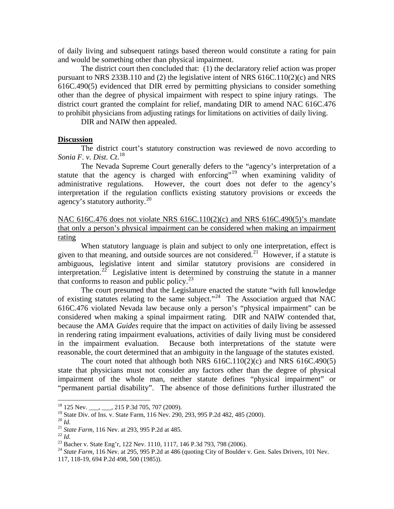of daily living and subsequent ratings based thereon would constitute a rating for pain and would be something other than physical impairment.

The district court then concluded that: (1) the declaratory relief action was proper pursuant to NRS 233B.110 and (2) the legislative intent of NRS  $616C.110(2)(c)$  and NRS 616C.490(5) evidenced that DIR erred by permitting physicians to consider something other than the degree of physical impairment with respect to spine injury ratings. The district court granted the complaint for relief, mandating DIR to amend NAC 616C.476 to prohibit physicians from adjusting ratings for limitations on activities of daily living.

DIR and NAIW then appealed.

#### **Discussion**

The district court's statutory construction was reviewed de novo according to *Sonia F. v. Dist. Ct*. [18](#page-4-0)

The Nevada Supreme Court generally defers to the "agency's interpretation of a statute that the agency is charged with enforcing"<sup>[19](#page-4-1)</sup> when examining validity of administrative regulations. However, the court does not defer to the agency's interpretation if the regulation conflicts existing statutory provisions or exceeds the agency's statutory authority.<sup>[20](#page-4-2)</sup>

NAC 616C.476 does not violate NRS 616C.110(2)(c) and NRS 616C.490(5)'s mandate that only a person's physical impairment can be considered when making an impairment rating

When statutory language is plain and subject to only one interpretation, effect is given to that meaning, and outside sources are not considered. [21](#page-4-3) However, if a statute is ambiguous, legislative intent and similar statutory provisions are considered in interpretation.<sup>[22](#page-4-4)</sup> Legislative intent is determined by construing the statute in a manner that conforms to reason and public policy. $2<sup>3</sup>$ 

The court presumed that the Legislature enacted the statute "with full knowledge of existing statutes relating to the same subject."<sup>[24](#page-4-6)</sup> The Association argued that NAC 616C.476 violated Nevada law because only a person's "physical impairment" can be considered when making a spinal impairment rating. DIR and NAIW contended that, because the AMA *Guides* require that the impact on activities of daily living be assessed in rendering rating impairment evaluations, activities of daily living must be considered in the impairment evaluation. Because both interpretations of the statute were reasonable, the court determined that an ambiguity in the language of the statutes existed.

The court noted that although both NRS  $616C.110(2)(c)$  and NRS  $616C.490(5)$ state that physicians must not consider any factors other than the degree of physical impairment of the whole man, neither statute defines "physical impairment" or "permanent partial disability". The absence of those definitions further illustrated the

<span id="page-4-0"></span><sup>&</sup>lt;sup>18</sup> 125 Nev. \_\_\_, \_\_\_, 215 P.3d 705, 707 (2009).<br><sup>19</sup> State Div. of Ins. v. State Farm, 116 Nev. 290, 293, 995 P.2d 482, 485 (2000).

<span id="page-4-4"></span>

<span id="page-4-6"></span><span id="page-4-5"></span>

<span id="page-4-3"></span><span id="page-4-2"></span><span id="page-4-1"></span><sup>&</sup>lt;sup>20</sup> *Id.*<br>
<sup>21</sup> *State Farm*, 116 Nev. at 293, 995 P.2d at 485.<br>
<sup>22</sup> *Id.*<br>
<sup>23</sup> Bacher v. State Eng'r, 122 Nev. 1110, 1117, 146 P.3d 793, 798 (2006).<br>
<sup>24</sup> *State Farm*, 116 Nev. at 295, 995 P.2d at 486 (quoting City o 117, 118-19, 694 P.2d 498, 500 (1985)).